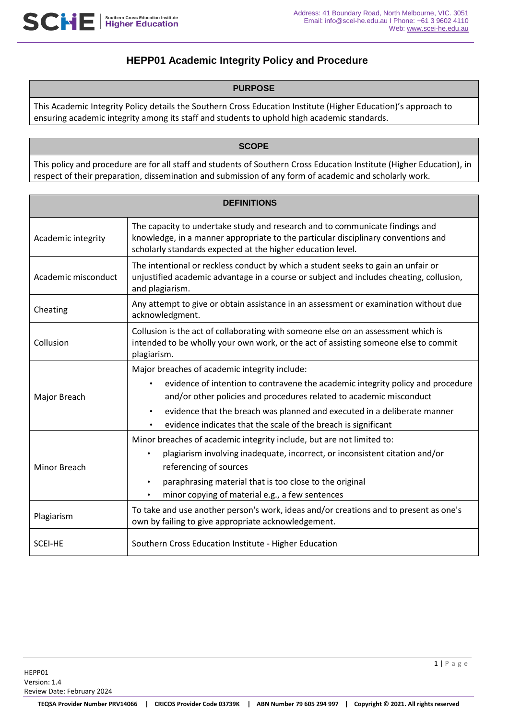# **HEPP01 Academic Integrity Policy and Procedure**

#### **PURPOSE**

This Academic Integrity Policy details the Southern Cross Education Institute (Higher Education)'s approach to ensuring academic integrity among its staff and students to uphold high academic standards.

#### **SCOPE**

This policy and procedure are for all staff and students of Southern Cross Education Institute (Higher Education), in respect of their preparation, dissemination and submission of any form of academic and scholarly work.

| <b>DEFINITIONS</b>  |                                                                                                                                                                                                                                                                                                                                                                    |  |  |
|---------------------|--------------------------------------------------------------------------------------------------------------------------------------------------------------------------------------------------------------------------------------------------------------------------------------------------------------------------------------------------------------------|--|--|
| Academic integrity  | The capacity to undertake study and research and to communicate findings and<br>knowledge, in a manner appropriate to the particular disciplinary conventions and<br>scholarly standards expected at the higher education level.                                                                                                                                   |  |  |
| Academic misconduct | The intentional or reckless conduct by which a student seeks to gain an unfair or<br>unjustified academic advantage in a course or subject and includes cheating, collusion,<br>and plagiarism.                                                                                                                                                                    |  |  |
| Cheating            | Any attempt to give or obtain assistance in an assessment or examination without due<br>acknowledgment.                                                                                                                                                                                                                                                            |  |  |
| Collusion           | Collusion is the act of collaborating with someone else on an assessment which is<br>intended to be wholly your own work, or the act of assisting someone else to commit<br>plagiarism.                                                                                                                                                                            |  |  |
| Major Breach        | Major breaches of academic integrity include:<br>evidence of intention to contravene the academic integrity policy and procedure<br>and/or other policies and procedures related to academic misconduct<br>evidence that the breach was planned and executed in a deliberate manner<br>$\bullet$<br>evidence indicates that the scale of the breach is significant |  |  |
| <b>Minor Breach</b> | Minor breaches of academic integrity include, but are not limited to:<br>plagiarism involving inadequate, incorrect, or inconsistent citation and/or<br>referencing of sources<br>paraphrasing material that is too close to the original<br>minor copying of material e.g., a few sentences                                                                       |  |  |
| Plagiarism          | To take and use another person's work, ideas and/or creations and to present as one's<br>own by failing to give appropriate acknowledgement.                                                                                                                                                                                                                       |  |  |
| <b>SCEI-HE</b>      | Southern Cross Education Institute - Higher Education                                                                                                                                                                                                                                                                                                              |  |  |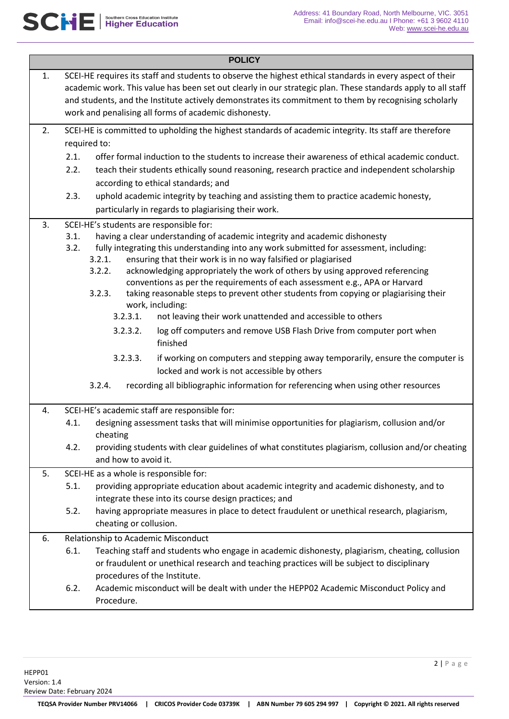| <b>POLICY</b> |                                                                                                                                                                                                                                                                                                                                                                                                                                                                                                                                                                                                                                                                                       |  |  |  |
|---------------|---------------------------------------------------------------------------------------------------------------------------------------------------------------------------------------------------------------------------------------------------------------------------------------------------------------------------------------------------------------------------------------------------------------------------------------------------------------------------------------------------------------------------------------------------------------------------------------------------------------------------------------------------------------------------------------|--|--|--|
| 1.            | SCEI-HE requires its staff and students to observe the highest ethical standards in every aspect of their<br>academic work. This value has been set out clearly in our strategic plan. These standards apply to all staff<br>and students, and the Institute actively demonstrates its commitment to them by recognising scholarly<br>work and penalising all forms of academic dishonesty.                                                                                                                                                                                                                                                                                           |  |  |  |
| 2.            | SCEI-HE is committed to upholding the highest standards of academic integrity. Its staff are therefore<br>required to:<br>offer formal induction to the students to increase their awareness of ethical academic conduct.<br>2.1.<br>2.2.<br>teach their students ethically sound reasoning, research practice and independent scholarship<br>according to ethical standards; and<br>2.3.<br>uphold academic integrity by teaching and assisting them to practice academic honesty,                                                                                                                                                                                                   |  |  |  |
|               | particularly in regards to plagiarising their work.                                                                                                                                                                                                                                                                                                                                                                                                                                                                                                                                                                                                                                   |  |  |  |
| 3.            | SCEI-HE's students are responsible for:<br>having a clear understanding of academic integrity and academic dishonesty<br>3.1.<br>3.2.<br>fully integrating this understanding into any work submitted for assessment, including:<br>3.2.1.<br>ensuring that their work is in no way falsified or plagiarised<br>acknowledging appropriately the work of others by using approved referencing<br>3.2.2.<br>conventions as per the requirements of each assessment e.g., APA or Harvard<br>3.2.3.<br>taking reasonable steps to prevent other students from copying or plagiarising their<br>work, including:<br>not leaving their work unattended and accessible to others<br>3.2.3.1. |  |  |  |
|               | log off computers and remove USB Flash Drive from computer port when<br>3.2.3.2.                                                                                                                                                                                                                                                                                                                                                                                                                                                                                                                                                                                                      |  |  |  |
|               | finished                                                                                                                                                                                                                                                                                                                                                                                                                                                                                                                                                                                                                                                                              |  |  |  |
|               | 3.2.3.3.<br>if working on computers and stepping away temporarily, ensure the computer is<br>locked and work is not accessible by others                                                                                                                                                                                                                                                                                                                                                                                                                                                                                                                                              |  |  |  |
|               | 3.2.4.<br>recording all bibliographic information for referencing when using other resources                                                                                                                                                                                                                                                                                                                                                                                                                                                                                                                                                                                          |  |  |  |
| 4.            | SCEI-HE's academic staff are responsible for:                                                                                                                                                                                                                                                                                                                                                                                                                                                                                                                                                                                                                                         |  |  |  |
|               | designing assessment tasks that will minimise opportunities for plagiarism, collusion and/or<br>4.1.<br>cheating                                                                                                                                                                                                                                                                                                                                                                                                                                                                                                                                                                      |  |  |  |
|               | providing students with clear guidelines of what constitutes plagiarism, collusion and/or cheating<br>4.2.<br>and how to avoid it.                                                                                                                                                                                                                                                                                                                                                                                                                                                                                                                                                    |  |  |  |
| 5.            | SCEI-HE as a whole is responsible for:                                                                                                                                                                                                                                                                                                                                                                                                                                                                                                                                                                                                                                                |  |  |  |
|               | 5.1.<br>providing appropriate education about academic integrity and academic dishonesty, and to                                                                                                                                                                                                                                                                                                                                                                                                                                                                                                                                                                                      |  |  |  |
|               | integrate these into its course design practices; and<br>5.2.<br>having appropriate measures in place to detect fraudulent or unethical research, plagiarism,<br>cheating or collusion.                                                                                                                                                                                                                                                                                                                                                                                                                                                                                               |  |  |  |
| 6.            | Relationship to Academic Misconduct                                                                                                                                                                                                                                                                                                                                                                                                                                                                                                                                                                                                                                                   |  |  |  |
|               | 6.1.<br>Teaching staff and students who engage in academic dishonesty, plagiarism, cheating, collusion<br>or fraudulent or unethical research and teaching practices will be subject to disciplinary                                                                                                                                                                                                                                                                                                                                                                                                                                                                                  |  |  |  |
|               | procedures of the Institute.<br>6.2.<br>Academic misconduct will be dealt with under the HEPP02 Academic Misconduct Policy and<br>Procedure.                                                                                                                                                                                                                                                                                                                                                                                                                                                                                                                                          |  |  |  |
|               |                                                                                                                                                                                                                                                                                                                                                                                                                                                                                                                                                                                                                                                                                       |  |  |  |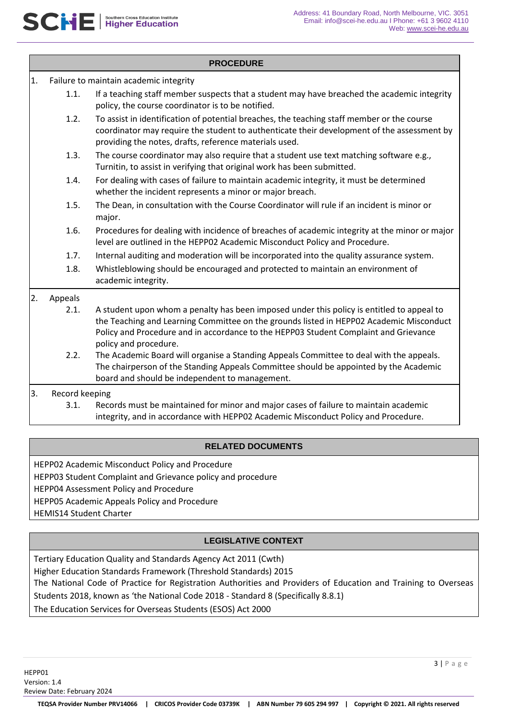| <b>PROCEDURE</b>                             |         |                                                                                                                                                                                                                                                                                                       |  |  |
|----------------------------------------------|---------|-------------------------------------------------------------------------------------------------------------------------------------------------------------------------------------------------------------------------------------------------------------------------------------------------------|--|--|
| 1.<br>Failure to maintain academic integrity |         |                                                                                                                                                                                                                                                                                                       |  |  |
|                                              | 1.1.    | If a teaching staff member suspects that a student may have breached the academic integrity<br>policy, the course coordinator is to be notified.                                                                                                                                                      |  |  |
|                                              | 1.2.    | To assist in identification of potential breaches, the teaching staff member or the course<br>coordinator may require the student to authenticate their development of the assessment by<br>providing the notes, drafts, reference materials used.                                                    |  |  |
|                                              | 1.3.    | The course coordinator may also require that a student use text matching software e.g.,<br>Turnitin, to assist in verifying that original work has been submitted.                                                                                                                                    |  |  |
|                                              | 1.4.    | For dealing with cases of failure to maintain academic integrity, it must be determined<br>whether the incident represents a minor or major breach.                                                                                                                                                   |  |  |
|                                              | 1.5.    | The Dean, in consultation with the Course Coordinator will rule if an incident is minor or<br>major.                                                                                                                                                                                                  |  |  |
|                                              | 1.6.    | Procedures for dealing with incidence of breaches of academic integrity at the minor or major<br>level are outlined in the HEPP02 Academic Misconduct Policy and Procedure.                                                                                                                           |  |  |
|                                              | 1.7.    | Internal auditing and moderation will be incorporated into the quality assurance system.                                                                                                                                                                                                              |  |  |
|                                              | 1.8.    | Whistleblowing should be encouraged and protected to maintain an environment of<br>academic integrity.                                                                                                                                                                                                |  |  |
| 2.                                           | Appeals |                                                                                                                                                                                                                                                                                                       |  |  |
|                                              | 2.1.    | A student upon whom a penalty has been imposed under this policy is entitled to appeal to<br>the Teaching and Learning Committee on the grounds listed in HEPP02 Academic Misconduct<br>Policy and Procedure and in accordance to the HEPP03 Student Complaint and Grievance<br>policy and procedure. |  |  |
|                                              | 2.2.    | The Academic Board will organise a Standing Appeals Committee to deal with the appeals.<br>The chairperson of the Standing Appeals Committee should be appointed by the Academic<br>board and should be independent to management.                                                                    |  |  |
| 3.<br>Record keeping                         |         |                                                                                                                                                                                                                                                                                                       |  |  |
|                                              | 3.1.    | Records must be maintained for minor and major cases of failure to maintain academic<br>integrity, and in accordance with HEPP02 Academic Misconduct Policy and Procedure.                                                                                                                            |  |  |

#### **RELATED DOCUMENTS**

HEPP02 Academic Misconduct Policy and Procedure

HEPP03 Student Complaint and Grievance policy and procedure

HEPP04 Assessment Policy and Procedure

HEPP05 Academic Appeals Policy and Procedure

HEMIS14 Student Charter

## **LEGISLATIVE CONTEXT**

Tertiary Education Quality and Standards Agency Act 2011 (Cwth) Higher Education Standards Framework (Threshold Standards) 2015 The National Code of Practice for Registration Authorities and Providers of Education and Training to Overseas Students 2018, known as 'the National Code 2018 - Standard 8 (Specifically 8.8.1) The Education Services for Overseas Students (ESOS) Act 2000